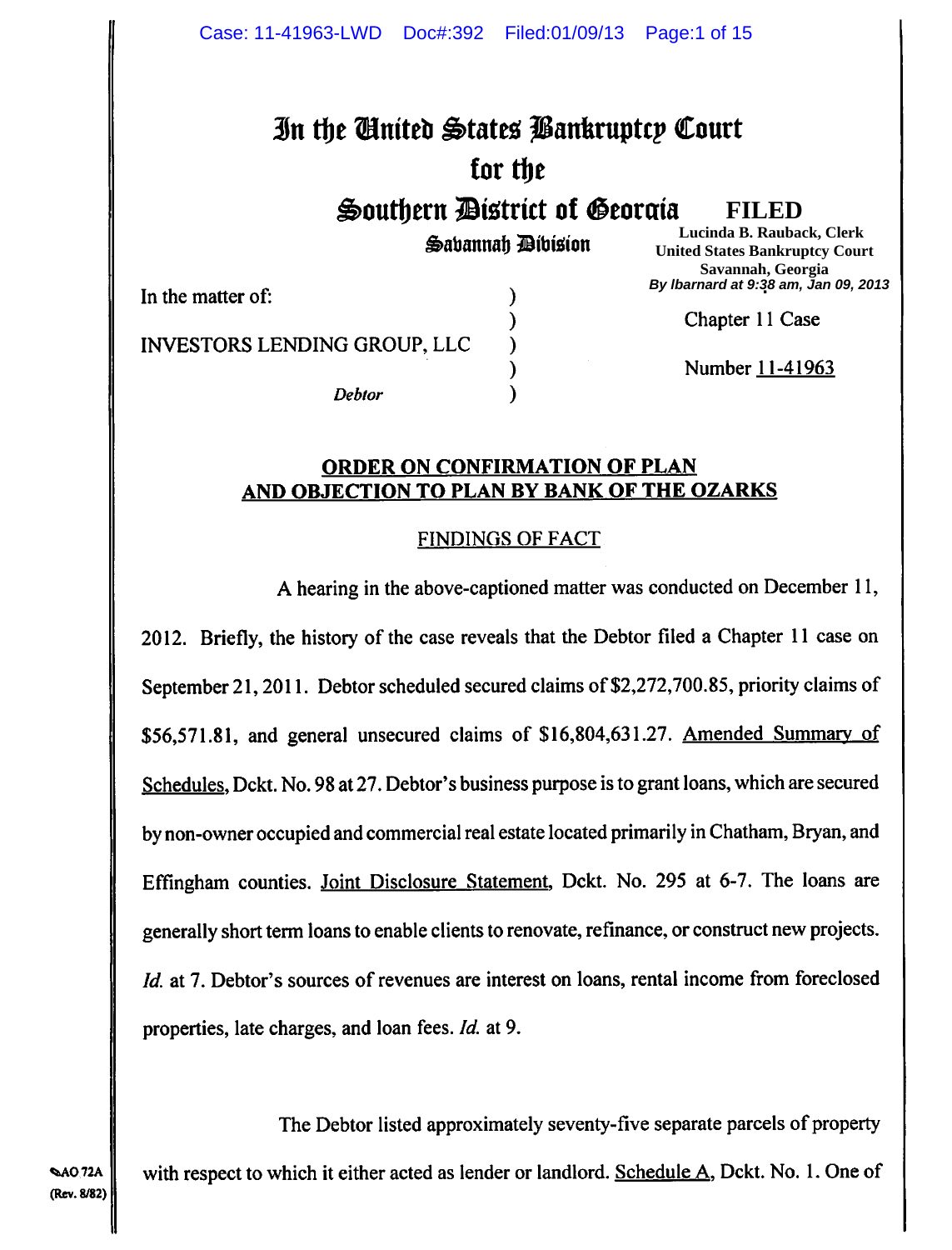# **In the Cinited States Bankruptcy Court for the**

**Southern District of Georaia** 

 $\bigoplus$ ahannah **Dibision** 

**FILED**

**Samuel L. y, Lucinda B. Rauback, Clerk United States Bankruptcy Court Savannah, Georgia . By lbarnard at 9:38 am, Jan 09, 2013**

In the matter of: (a)

) Chapter 11 Case

INVESTORS LENDING GROUP, LLC )

Debtor )

Number 11-41963

#### **ORDER ON CONFIRMATION OF PLAN AND OBJECTION TO PLAN BY BANK OF THE OZARKS**

)

## FINDINGS OF FACT

A hearing in the above-captioned matter was conducted on December 11, 2012. Briefly, the history of the case reveals that the Debtor filed a Chapter 11 case on September 21, 2011. Debtor scheduled secured claims of \$2,272,700.85, priority claims of *\$56,571.81,* and general unsecured claims of \$16,804,631.27. Amended Summary of Schedules, Dckt. No. 98 at 27. Debtor's business purpose is to grant loans, which are secured by non-owner occupied and commercial real estate located primarily in Chatham, Bryan, and Effingham counties. Joint Disclosure Statement, Dckt. No. 295 at 6-7. The loans are generally short term loans to enable clients to renovate, refinance, or construct new projects. *Id.* at 7. Debtor's sources of revenues are interest on loans, rental income from foreclosed properties, late charges, and loan fees. *Id* at 9.

The Debtor listed approximately seventy-five separate parcels of property AO.72A | with respect to which it either acted as lender or landlord. Schedule A, Dckt. No. 1. One of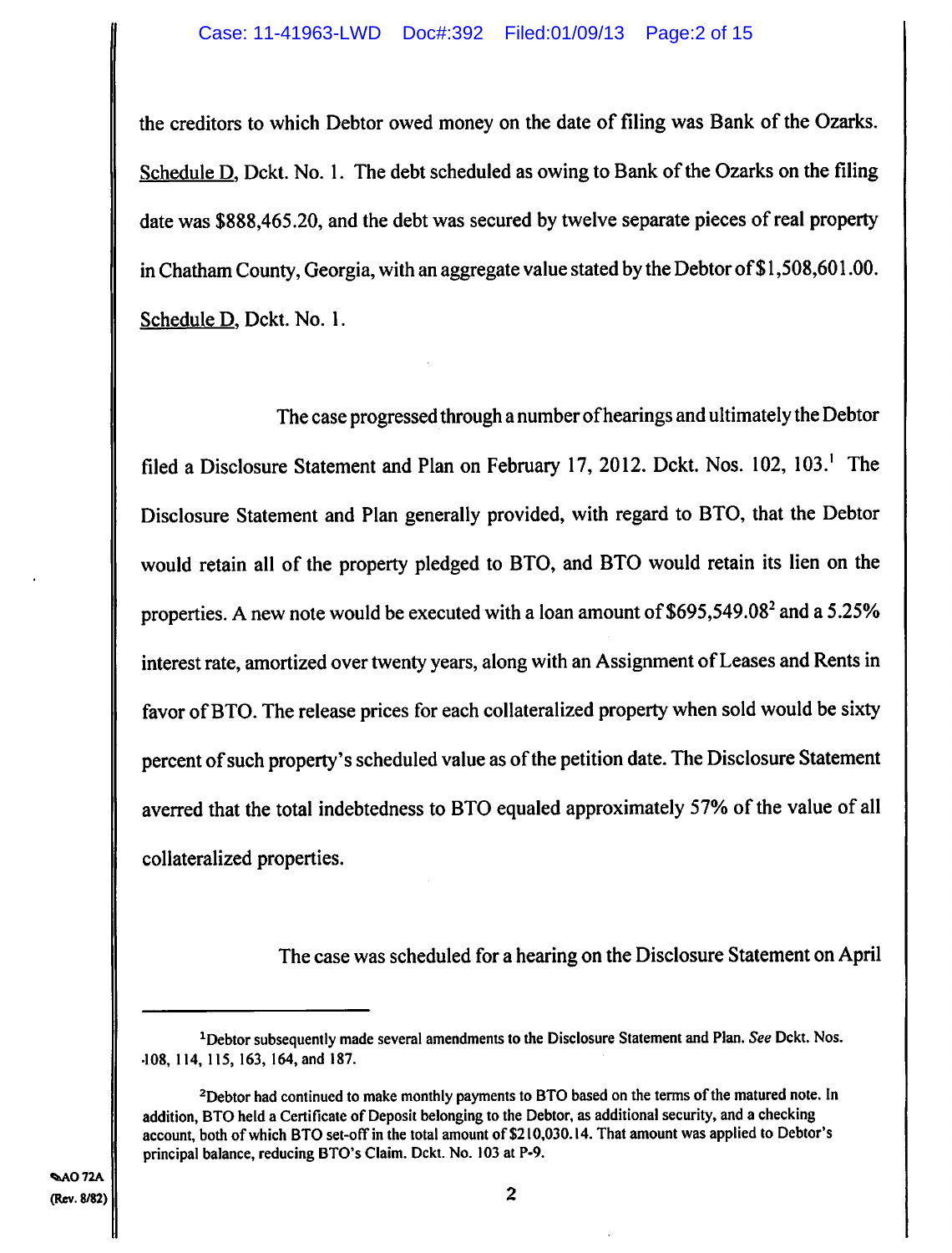the creditors to which Debtor owed money on the date of filing was Bank of the Ozarks. Schedule  $D$ , Dckt. No. 1. The debt scheduled as owing to Bank of the Ozarks on the filing date was \$888,465.20, and the debt was secured by twelve separate pieces of real property in Chatham County, Georgia, with an aggregate value stated by the Debtor of\$1,508,60 1.00. Schedule D, Dckt. No. 1.

The case progressed through a number of hearings and ultimately the Debtor filed a Disclosure Statement and Plan on February 17, 2012. Dckt. Nos.  $102$ ,  $103$ <sup>1</sup>. The Disclosure Statement and Plan generally provided, with regard to BTO, that the Debtor would retain all of the property pledged to BTO, and BTO would retain its lien on the properties. A new note would be executed with a loan amount of \$695,549.082 and a *5.25%*  interest rate, amortized over twenty years, along with an Assignment of Leases and Rents in favor of BTO. The release prices for each collateralized property when sold would be sixty percent of such property's scheduled value as of the petition date. The Disclosure Statement averred that the total indebtedness to BTO equaled approximately *57%* of the value of all collateralized properties.

The case was scheduled for a hearing on the Disclosure Statement on April

<sup>&</sup>lt;sup>1</sup>Debtor subsequently made several amendments to the Disclosure Statement and Plan. See Dckt. Nos. .108, 114, 115, 163, 164, and 187.

 $<sup>2</sup>$ Debtor had continued to make monthly payments to BTO based on the terms of the matured note. In</sup> addition, BTO held a Certificate of Deposit belonging to the Debtor, as additional security, and a checking account, both of which BTO set-off in the total amount of \$210,030.14. That amount was applied to Debtor's principal balance, reducing BTO's Claim. Dckt. No. 103 at P.9.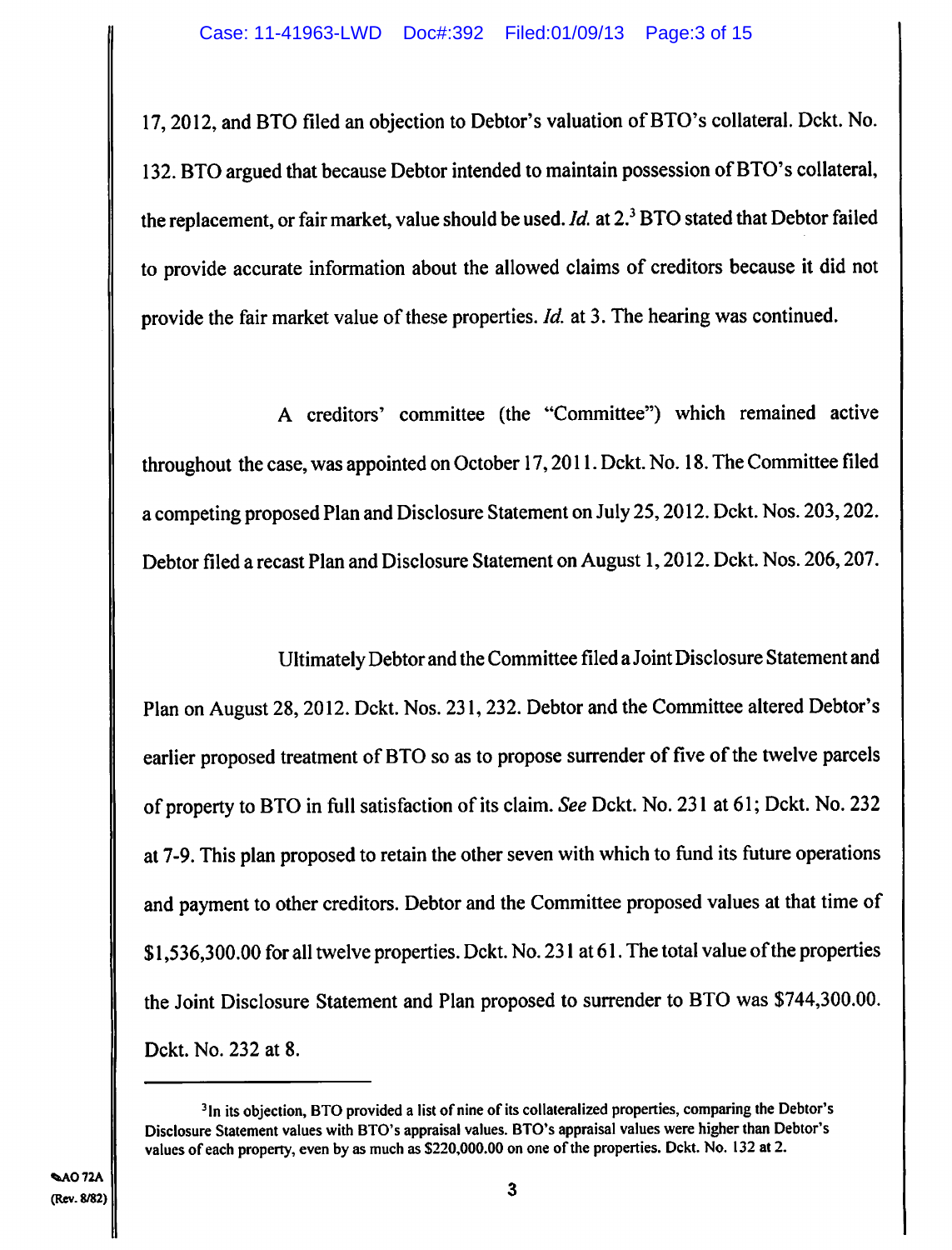**17, 2012, and BTO filed an objection to Debtor's valuation of BTO's collateral. Dckt. No. 132. BTO argued that because Debtor intended to maintain possession of BTO's collateral,**  the replacement, or fair market, value should be used. *Id.* at 2.<sup>3</sup> BTO stated that Debtor failed **to provide accurate information about the allowed claims of creditors because it did not provide the fair market value of these properties.** *Id.* at 3. The hearing was continued.

A creditors' committee (the "Committee") which remained active throughout the case, was appointed on October 17, 2011. Dckt. No. 18. The Committee filed a **competing proposed Plan and Disclosure Statement on** July 25, 2012. Dckt. Nos. 203,202. Debtor filed a recast Plan and Disclosure Statement on August 1, 2012. Dckt. Nos. 206,207.

Ultimately Debtor and the Committee filed a Joint Disclosure Statement and Plan on August 28, 2012. Dckt. Nos. 231, 232. Debtor and the Committee altered Debtor's earlier proposed treatment of **BTO so as to propose surrender of** five of the twelve parcels of property to BTO in full satisfaction of its claim. *See* Dckt. No. 231 at 61; Dckt. No. 232 **at 7-9. This plan proposed to retain the other seven with which to fund its future operations and payment to other creditors. Debtor and the Committee proposed values at that time of \$1,536,300.00 for all twelve properties. Dckt. No. 231 at 61. The total value of the properties the Joint Disclosure Statement and Plan proposed to surrender to BTO was \$744,300.00. Dckt. No. 232 at 8.** 

**<sup>3</sup> 1n its objection, BTO provided a list of nine of its collateralized properties, comparing the Debtor's Disclosure Statement values with BTO's appraisal values. 810's appraisal values were higher than Debtor's values of each property, even by as much as \$220,000.00 on one of the properties. Dckt. No. 132 at 2.**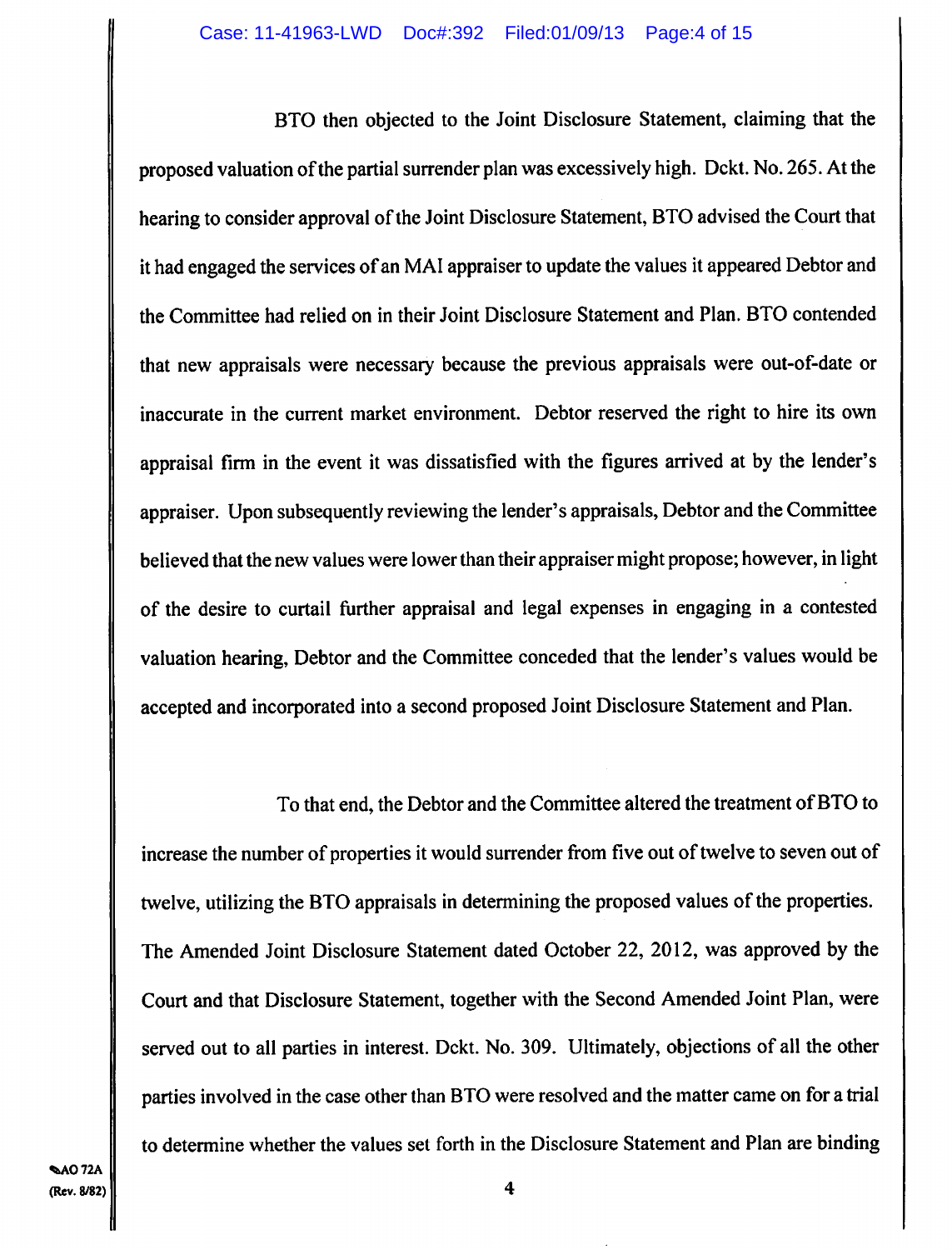BTO then objected to the Joint Disclosure Statement, claiming that the proposed valuation of the partial surrender plan was excessively high. Dckt. No. *265.* At the hearing to consider approval of the Joint Disclosure Statement, BTO advised the Court that it had engaged the services of an MA! appraiser to update the values it appeared Debtor and the Committee had relied on in their Joint Disclosure Statement and Plan. BTO contended that new appraisals were necessary because the previous appraisals were out-of-date or inaccurate in the current market environment. Debtor reserved the right to hire its own appraisal firm in the event it was dissatisfied with the figures arrived at by the lender's appraiser. Upon subsequently reviewing the lender's appraisals, Debtor and the Committee believed that the new values were lower than their appraiser might propose; however, in light of the desire to curtail further appraisal and legal expenses in engaging in a contested valuation hearing, Debtor and the Committee conceded that the lender's values would be accepted and incorporated into a second proposed Joint Disclosure Statement and Plan.

To that end, the Debtor and the Committee altered the treatment of BTO to increase the number of properties it would surrender from five out of twelve to seven out of twelve, utilizing the BTO appraisals in determining the proposed values of the properties. The Amended Joint Disclosure Statement dated October 22, 2012, was approved by the Court and that Disclosure Statement, together with the Second Amended Joint Plan, were served out to all parties in interest. Dckt. No. 309. Ultimately, objections of all the other parties involved in the case other than BTO were resolved and the matter came on for a trial to determine whether the values set forth in the Disclosure Statement and Plan are binding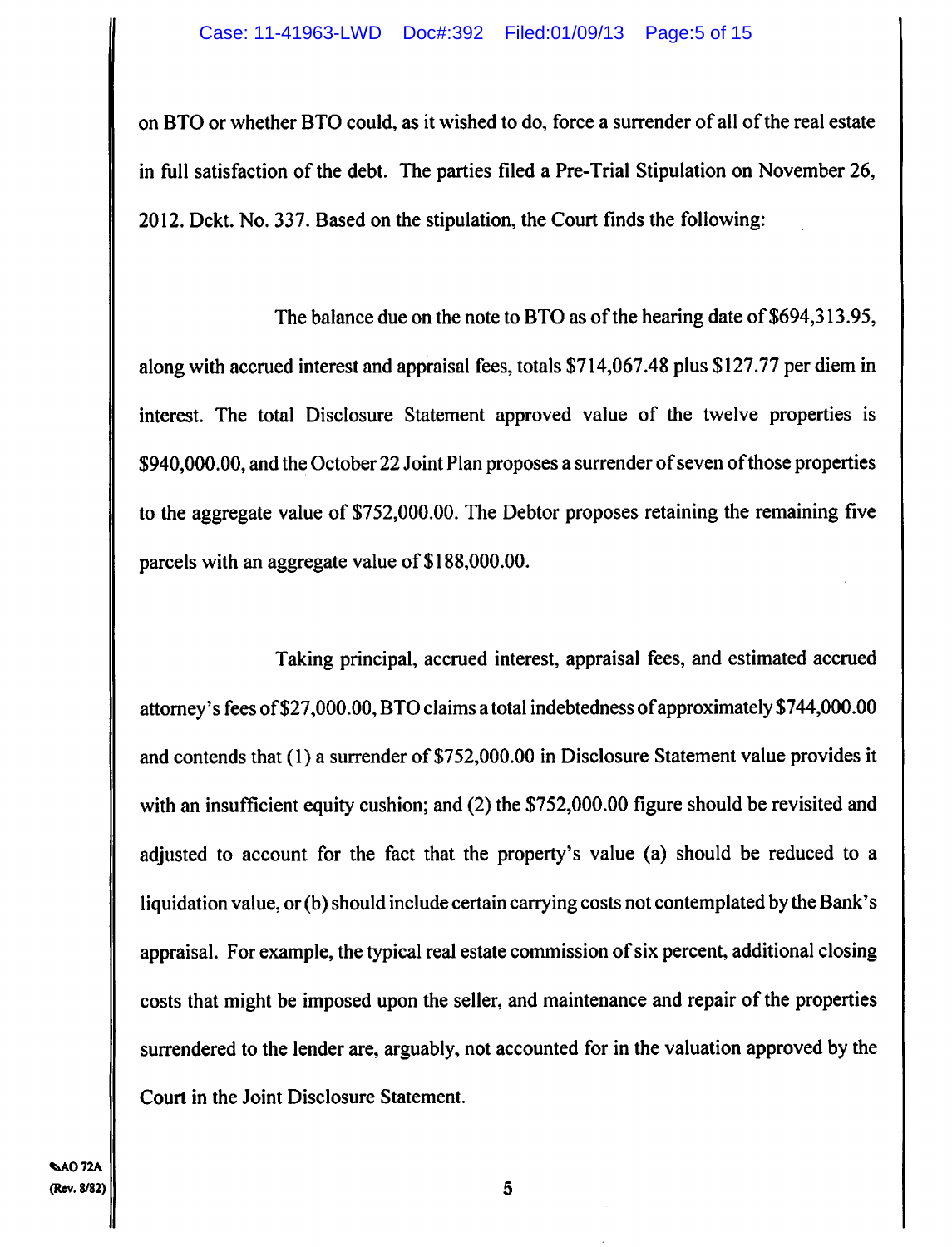**on BTO or whether BTO could, as it wished to do, force a surrender of all of the real estate in full satisfaction of the debt. The parties filed a Pre-Trial Stipulation on November 26, 2012. Dckt. No. 337. Based on the stipulation, the Court finds the following:** 

**The balance due on the note to BTO as of the hearing date** *of \$694,313.95,*  **along with accrued interest and appraisal fees, totals \$714,067.48 plus \$127.77 per diem in interest. The total Disclosure Statement approved value of the twelve properties is \$940,000.00, and the October 22 Joint Plan proposes a surrender of seven of those properties to the aggregate value of \$752,000.00. The Debtor proposes retaining the remaining five parcels with an aggregate value of \$188,000.00.** 

**Taking principal, accrued interest, appraisal fees, and estimated accrued attorney's fees of \$27,000.00, 1310 claims a total indebtedness of approximately \$744,000.00 and contends that (1) a surrender of \$752,000.00 in Disclosure Statement value provides it with an insufficient equity cushion; and (2) the \$752,000.00 figure should be revisited and adjusted to account for the fact that the property's value (a) should be reduced to a liquidation value, or (b) should include certain carrying costs not contemplated by the Bank's appraisal. For example, the typical real estate commission of six percent, additional closing costs that might be imposed upon the seller, and maintenance and repair of the properties surrendered to the lender are, arguably, not accounted for in the valuation approved by the Court in the Joint Disclosure Statement.**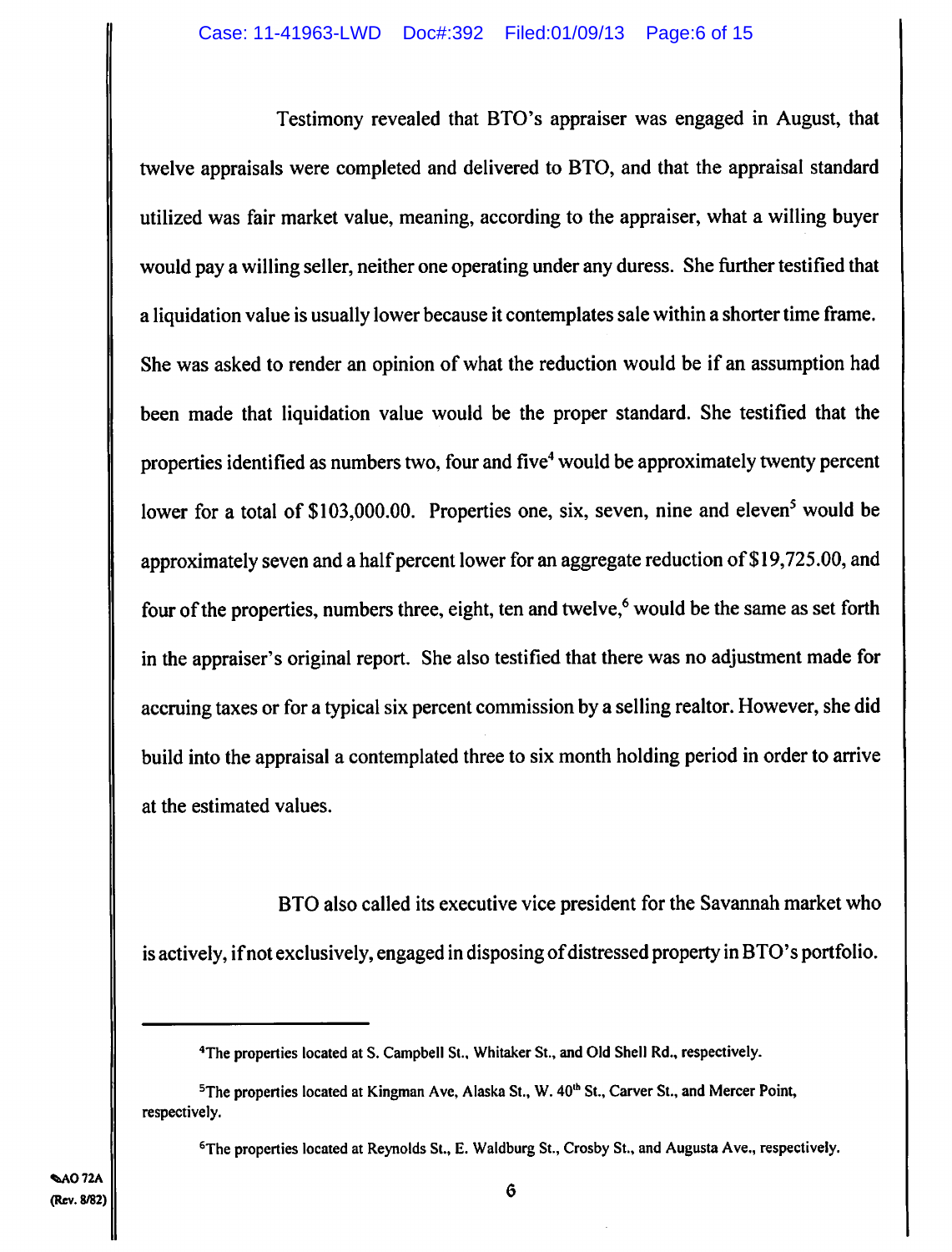Testimony revealed that BTO's appraiser was engaged in August, that twelve appraisals were completed and delivered to BTO, and that the **appraisal standard utilized was fair market value, meaning, according to the appraiser, what a willing buyer would pay a willing seller, neither one operating under any duress. She further testified that**  a liquidation value is usually lower because it contemplates sale within a shorter time frame. She was asked to render an opinion of **what the reduction would be if an assumption had been made that liquidation** value would be the proper standard. She testified that the properties identified as numbers two, four and five' would be **approximately twenty percent**  lower for a total of \$103,000.00. Properties one, six, seven, nine and eleven<sup>5</sup> would be approximately seven and a half percent lower for an aggregate reduction of **\$19,725.00, and**  four of the properties, numbers three, eight, ten and twelve,<sup>6</sup> would be the same as set forth in the appraiser's original report. She also testified that there was **no adjustment made for accruing taxes or for a typical six percent commission by a selling realtor. However, she did build into the** appraisal a contemplated three to six month holding period in order to arrive at the estimated values.

BTO also called its executive vice president for the Savannah market who is actively, if **not exclusively, engaged in disposing** of distressed property in BTO's portfolio.

**<sup>6</sup>The properties located at Reynolds St., E. Waldburg St., Crosby St., and Augusta Ave., respectively.** 

**<sup>4</sup>The properties located at S. Campbell St., Whitaker St., and Old Shell Rd., respectively.** 

<sup>&</sup>lt;sup>5</sup>The properties located at Kingman Ave, Alaska St., W. 40<sup>th</sup> St., Carver St., and Mercer Point, **respectively.**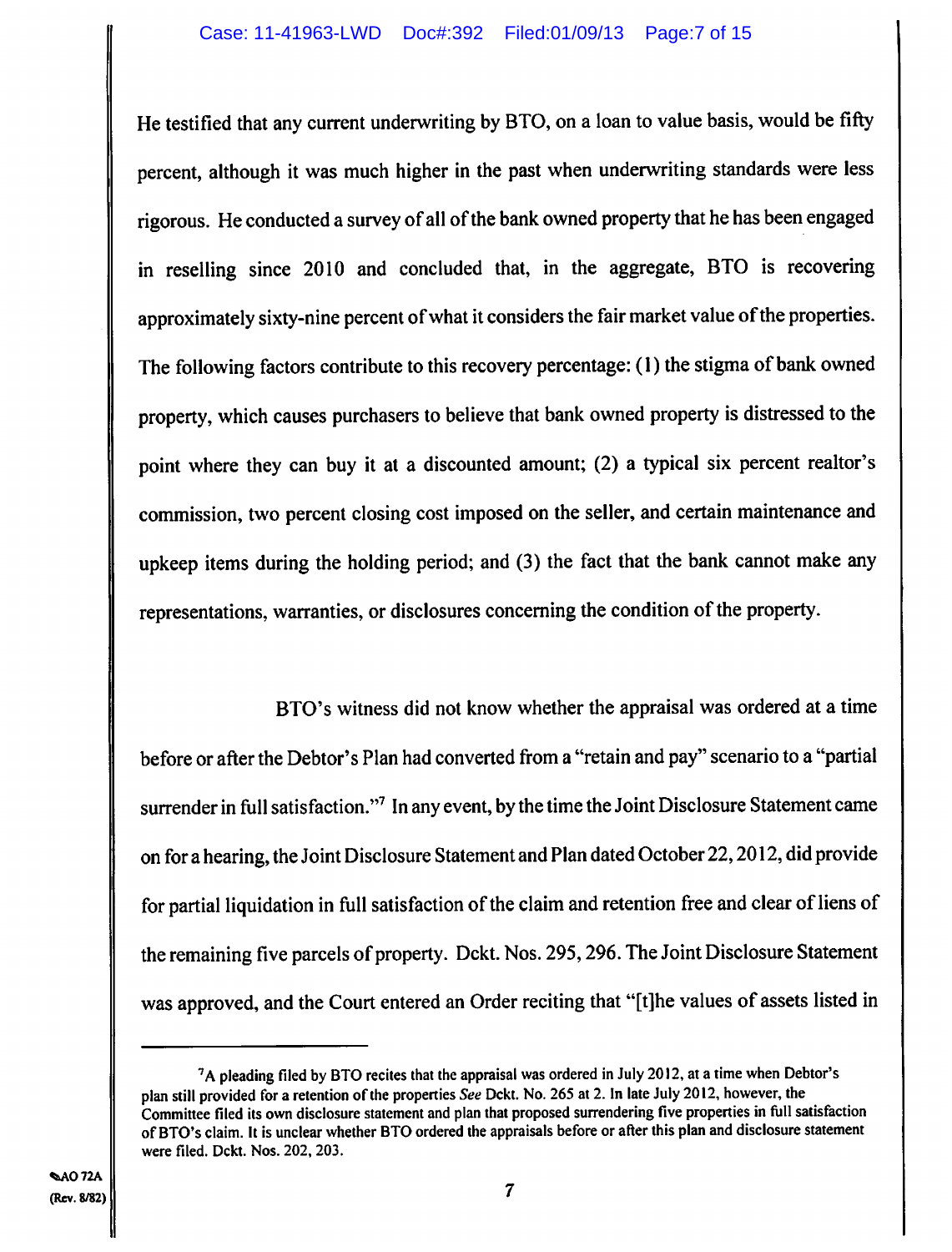**He testified that any current underwriting** by BTO, on a loan to value basis, would be fifty percent, although it was much higher in the past when underwriting standards were less rigorous. He conducted a survey of all of **the bank owned property that he has been engaged in reselling since 2010 and concluded that, in the aggregate, BTO is recovering approximately sixty-nine percent of what it considers the fair market value of the properties. The following factors contribute to this recovery percentage: (1) the stigma of bank owned property, which causes purchasers to believe that bank owned property is distressed to the**  point where they can buy it at a discounted amount; (2) a typical six percent realtor's commission, two percent closing cost imposed on the seller, and certain maintenance and upkeep items during the holding period; and (3) **the fact that the bank cannot make any representations, warranties, or disclosures concerning the condition of the property.** 

**BTO's witness did not know whether the appraisal was ordered at a time before or after the Debtor's Plan had converted from a "retain and pay" scenario to a "partial surrender in full satisfaction."' In any event, by the time the Joint Disclosure Statement came on for a hearing, the** Joint Disclosure Statement and Plan dated October 22,2012, did provide for partial liquidation in full satisfaction of the claim and retention free and clear of liens of the remaining five parcels of property. Dckt. Nos. *295,296.* The Joint Disclosure Statement was approved, and the Court entered an Order reciting that "[tihe values of assets listed in

<sup>7</sup>A pleading filed by BTO recites that the appraisal was ordered in July 2012, at a time when Debtor's plan still provided for a retention of the properties See Dckt. No. 265 at 2. In late July 2012, however, the Committee filed its own disclosure statement and plan that proposed surrendering five properties in full satisfaction of BTO's claim, It is unclear whether BTO ordered the appraisals before or after this plan and disclosure statement were filed. Dckt. Nos. 202, 203.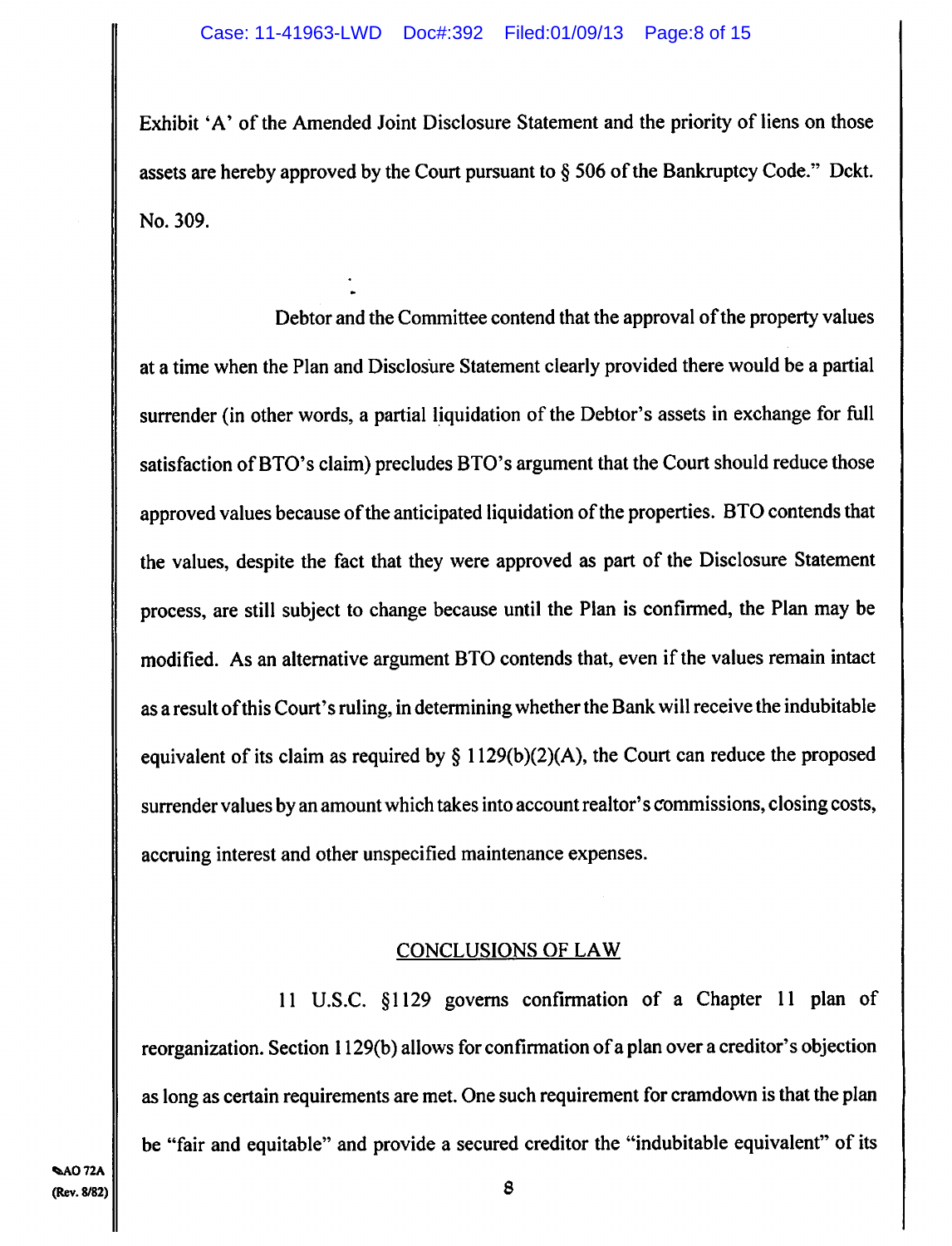Exhibit 'A' of the Amended Joint Disclosure Statement and the priority of liens on those assets are hereby approved by the Court pursuant to § *506* of the Bankruptcy Code." Dckt. No. 309.

Debtor and the Committee contend that the approval of the property values at a time when the Plan and Disclosure Statement clearly provided there would be a partial surrender (in other words, a partial liquidation of the Debtor's assets in exchange for full satisfaction of BTO's claim) precludes BTO's argument that the Court should reduce those approved values because of the anticipated liquidation of the properties. BTO contends that the values, despite the fact that they were approved as part of the Disclosure Statement process, are still subject to change because until the Plan is confirmed, the Plan may be modified. As an alternative argument BTO contends that, even if the values remain intact as a result of this Court's ruling, in determining whether the Bank will receive the indubitable equivalent of its claim as required by  $\S 1129(b)(2)(A)$ , the Court can reduce the proposed surrender values by an amount which takes into account realtor's commissions, closing costs, accruing interest and other unspecified maintenance expenses.

## CONCLUSIONS OF LAW

11 U.S.C. § 1129 governs confirmation of a Chapter 11 plan of reorganization. Section 1129(b) allows for confirmation of a plan over a creditor's objection as long as certain requirements are met. One such requirement for cramdown is that the plan be "fair and equitable" and provide a secured creditor the "indubitable equivalent" of its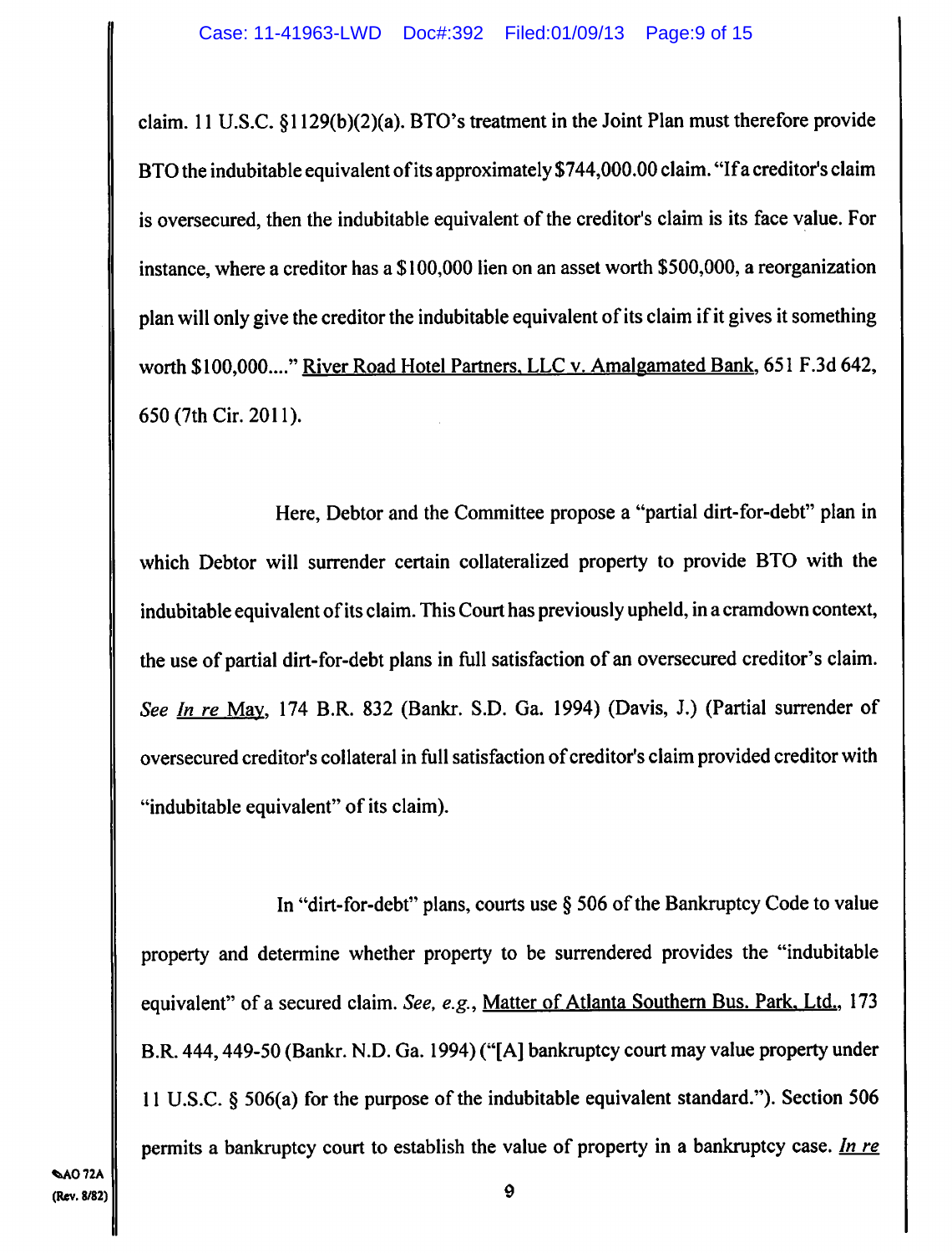claim. 11 U.S.C. §1129(b)(2)(a). BTO's treatment in the Joint Plan must therefore provide BTO the indubitable equivalent of its approximately \$744,000.00 claim. "If a creditor's claim is oversecured, then the indubitable equivalent of the creditor's claim is its face value. For instance, where a creditor has a \$100,000 lien on an asset worth \$500,000, a reorganization plan will only give the creditor the indubitable equivalent of its claim if it gives it something worth \$100,000...." River Road Hotel Partners. LLC v. Amalgamated Bank, 651 F.3d 642, 650 (7th cir. 2011).

Here, Debtor and the Committee propose a "partial dirt-for-debt" plan in which Debtor will surrender certain collateralized property to provide BTO with the indubitable equivalent of its claim. This Court has previously upheld, in a cramdown context, the use of partial dirt-for-debt plans in full satisfaction of an oversecured creditor's claim. *See In re* May, 174 B.R. 832 (Bankr. S.D. Ga. 1994) (Davis, J.) (Partial surrender of oversecured creditor's collateral in full satisfaction of creditor's claim provided creditor with "indubitable equivalent" of its claim).

In "dirt-for-debt" plans, courts use § 506 of the Bankruptcy Code to value property and determine whether property to be surrendered provides the "indubitable equivalent" of a secured claim. *See, e.g.,* Matter of Atlanta Southern Bus. Park, Ltd., 173 B.R. **444,449-50 (Bankr. N.D. Ga. 1994)** ("[A] bankruptcy court may value property under 11 U.S.C. § 506(a) for the purpose of the indubitable equivalent standard."). Section 506 permits a bankruptcy court to establish the value of property in a bankruptcy case. *In re*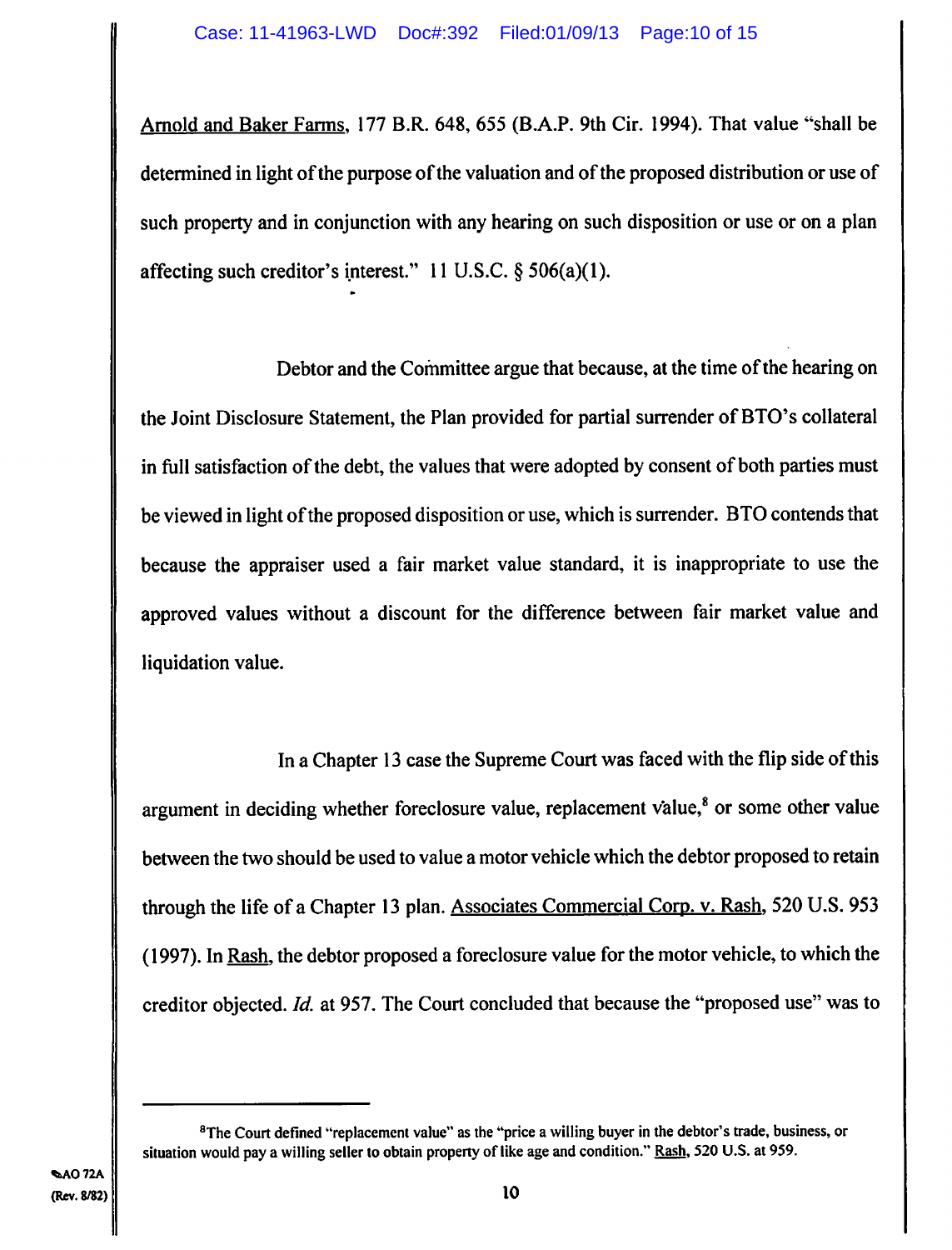Arnold and Baker Farms, 177 B.R. 648, *655* (B.A.P. 9th Cir. 1994). That value "shall be determined in light of the purpose of the valuation and of the proposed distribution or use of such property and in conjunction with any hearing on such disposition or use or on a plan affecting such creditor's interest." 11 U.S.C.  $\S$  506(a)(1).

Debtor and the Committee argue that because, at the time of the hearing on the Joint Disclosure Statement, the Plan provided for partial surrender of BTO's collateral in full satisfaction of the debt, the values that were adopted by consent of both parties must be viewed in light of the proposed disposition or use, which is surrender. BTO contends that because the appraiser used a fair market value standard, it is inappropriate to use the approved values without a discount for the difference between fair market value and liquidation value.

In a Chapter 13 case the Supreme Court was faced with the flip side of this argument in deciding whether foreclosure value, replacement value,<sup>8</sup> or some other value between the two should be used to value a motor vehicle which the debtor proposed to retain through the life of a Chapter 13 plan. Associates Commercial Corp. v. Rash, 520 U.S. 953 (1997). In Rash, the debtor proposed a foreclosure value for the motor vehicle, to which the creditor objected. *Id.* at 957. The Court concluded that because the "proposed use" was to

**<sup>&#</sup>x27;The Court defined "replacement value" as the "price a willing buyer in the debtor's trade, business, or situation would pay a willing seller to obtain property of like age and condition." Rash, 520 U.S. at 959.**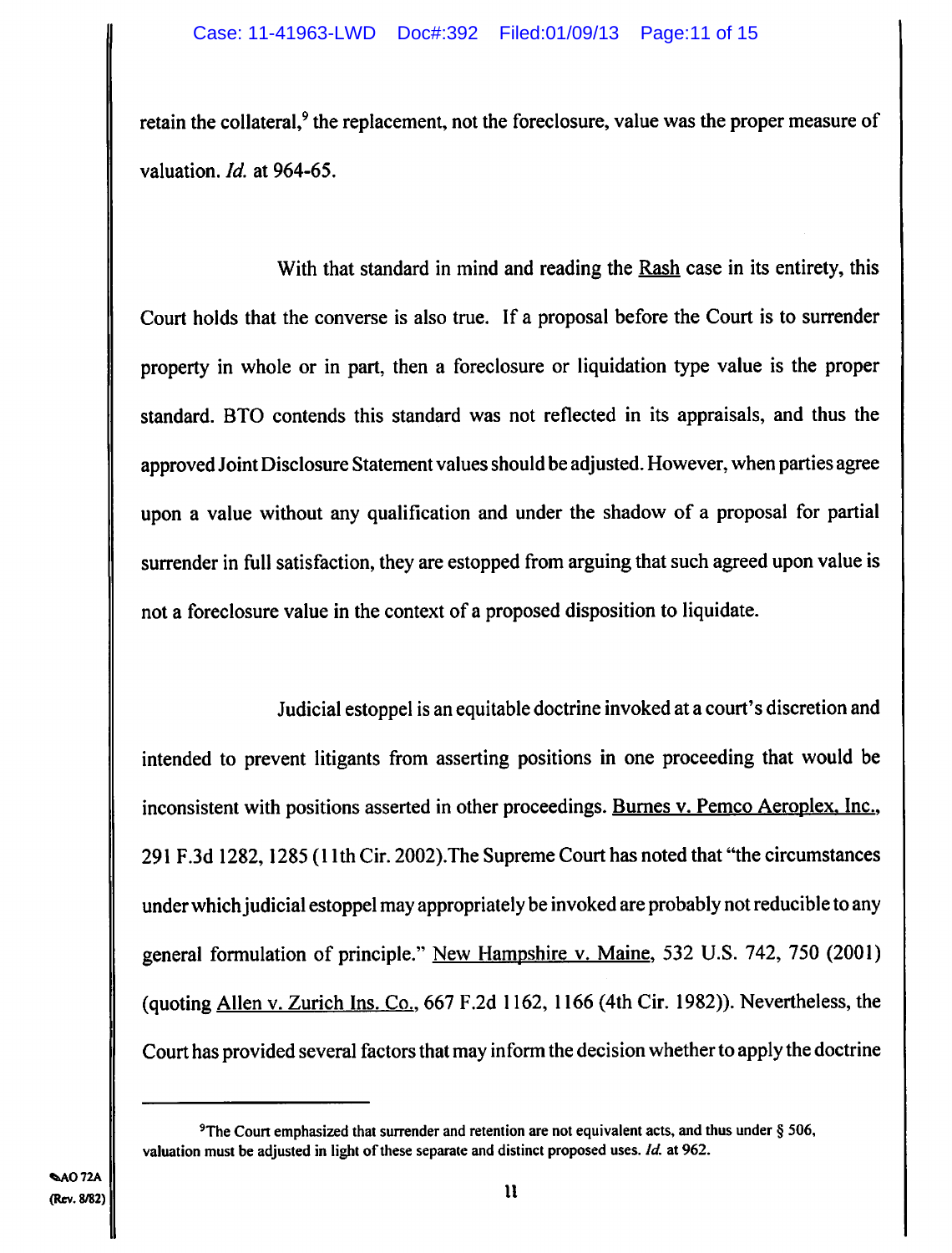retain the collateral,<sup>9</sup> the replacement, not the foreclosure, value was the proper measure of valuation. *Id.* at *964-65.* 

With that standard in mind and reading the Rash case in its entirety, this Court holds that the converse is also true. If a proposal before the Court is to surrender property in whole or in part, then a foreclosure or liquidation type value is the proper standard. BTO contends this standard was not reflected in its appraisals, and thus the approved Joint Disclosure Statement values should be adjusted. However, when parties agree upon a value without any qualification and under the shadow of a proposal for partial surrender in full satisfaction, they are estopped from arguing that such agreed upon value is not a foreclosure value in the context of a proposed disposition to liquidate.

Judicial estoppel is an equitable doctrine invoked at a court's discretion and intended to prevent litigants from asserting positions in one proceeding that would be inconsistent with positions asserted in other proceedings. Burnes v. Pemco Aeroplex. Inc., 291 F.3d 1282, 1285 (11th Cir. 2002).The Supreme Court has noted that "the circumstances under which judicial estoppel may appropriately be invoked are probably not reducible to any general formulation of principle." New Hampshire v. Maine, *532* U.S. 742, *750* (2001) (quoting Allen v. Zurich Ins. Co., 667 F.2d 1162, 1166 (4th Cir. 1982)). Nevertheless, the Court has provided several factors that may inform the decision whether to apply the doctrine

**<sup>9</sup>The Court emphasized that surrender and retention are not equivalent acts, and thus under § 506, valuation must be adjusted in light of these separate and distinct proposed uses.** *Id* **at 962.**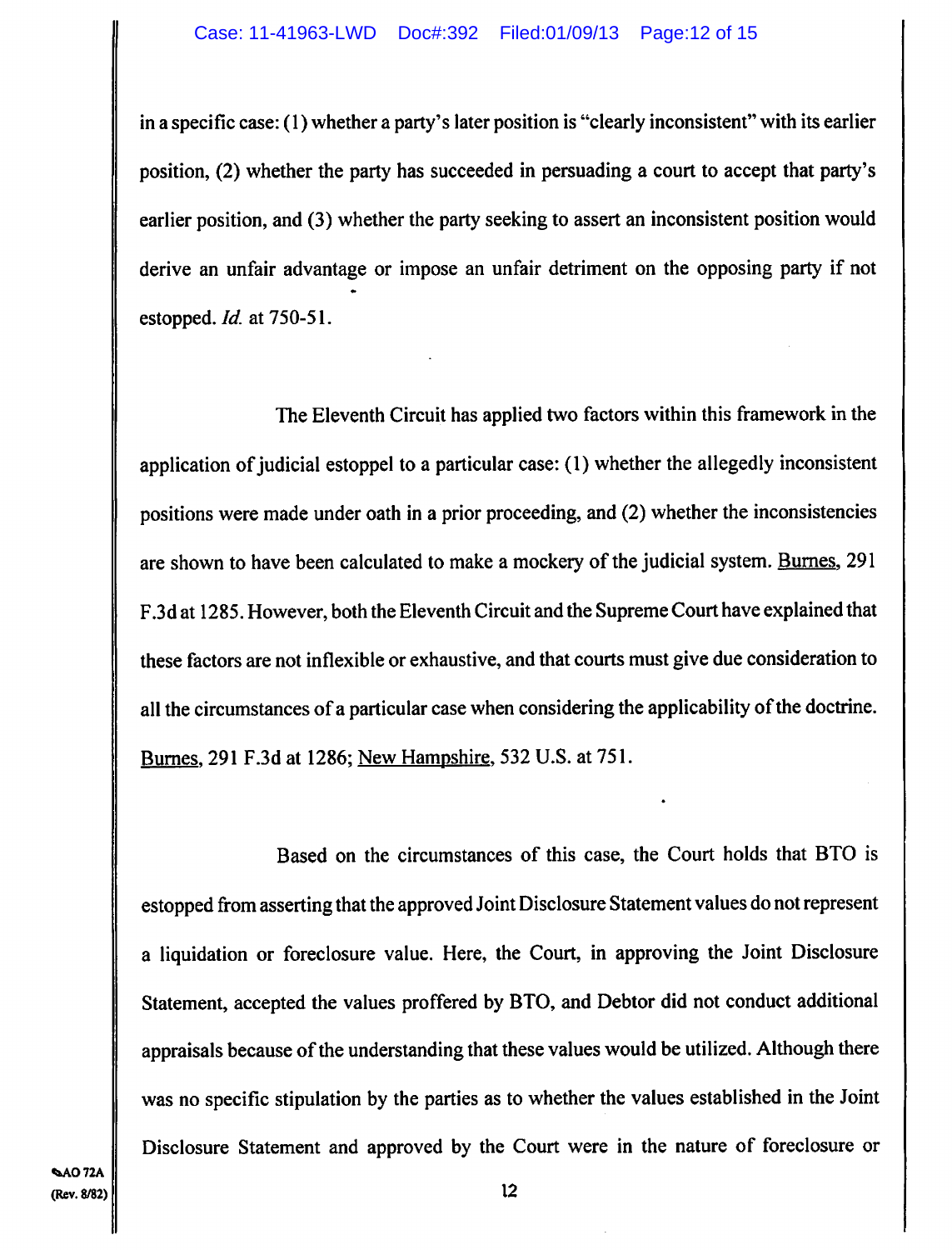in a specific case: (1) whether a party's later position is "clearly inconsistent" with its earlier position, (2) whether the party has succeeded in persuading a court to accept that party's earlier position, and (3) whether the party seeking to assert an inconsistent position would derive an unfair advantage or impose an unfair detriment on the opposing party if not estopped. *Id* at *750-5* 1.

The Eleventh Circuit has applied two factors within this framework in the application of judicial estoppel to a particular case: (1) whether the allegedly inconsistent positions were made under oath in a prior proceeding, and (2) whether the inconsistencies are shown to have been calculated to make a mockery of the judicial system. Burnes, 291 F.3d at 1285. However, both the Eleventh Circuit and the Supreme Court have explained that these factors are not inflexible or exhaustive, and that courts must give due consideration to all the circumstances of a particular case when considering the applicability of the doctrine. Burnes, 291 F.3d at 1286; New Hampshire, 532 U.S. at 751.

Based on the circumstances of this case, the Court holds that BTO is estopped from asserting that the approved Joint Disclosure Statement values do not represent a liquidation or foreclosure value. Here, the Court, in approving the Joint Disclosure Statement, accepted the values proffered by BTO, and Debtor did not conduct additional appraisals because of the understanding that these values would be utilized. Although there was no specific stipulation by the parties as to whether the values established in the Joint Disclosure Statement and approved by the Court were in the nature of foreclosure or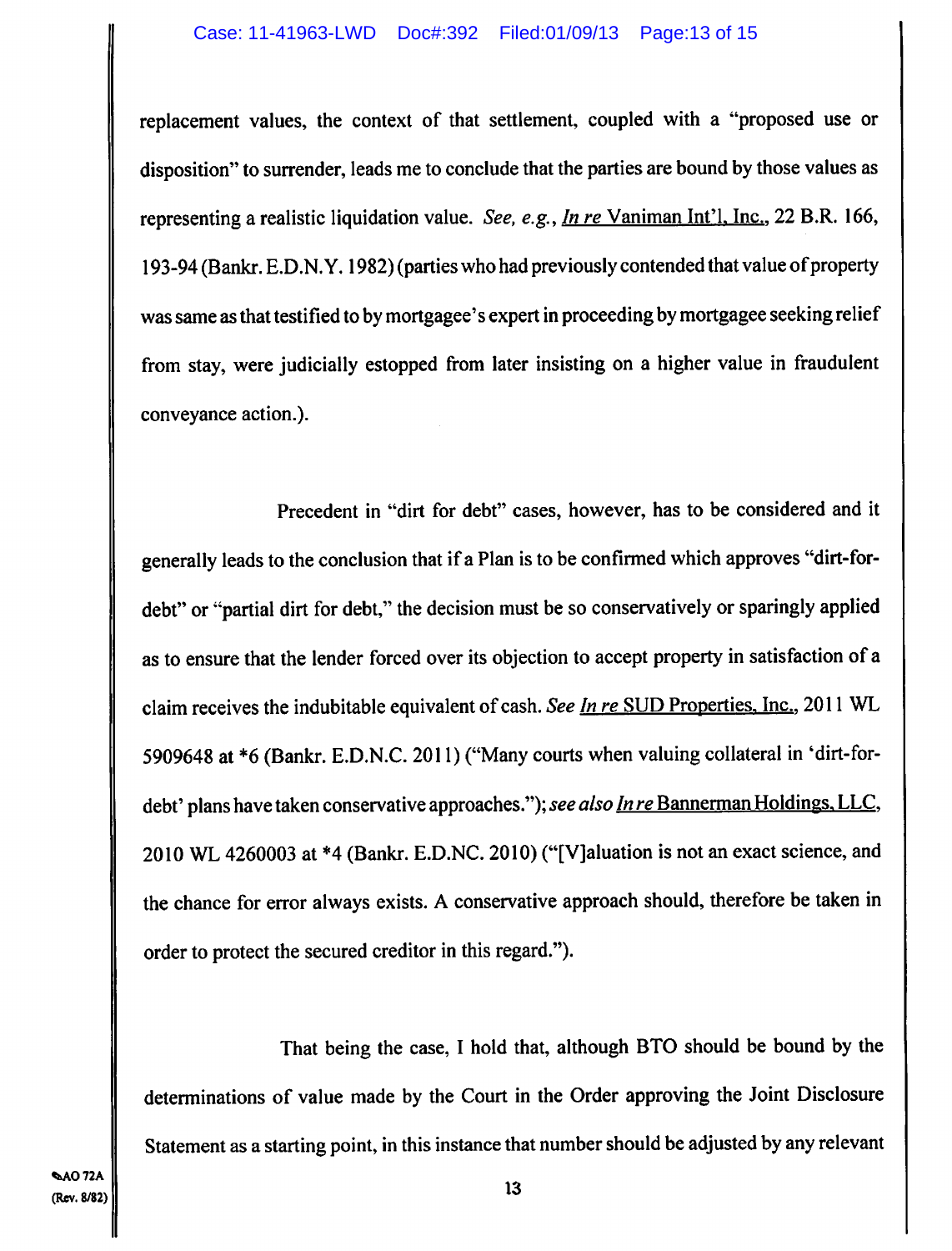replacement values, the context of that settlement, coupled with a "proposed use or disposition" to surrender, leads me to conclude that the parties are bound by those values as representing a realistic liquidation value. *See, e.g., In re* Vaniman Int'l, Inc., 22 B.R. 166, 193-94 (Bankr. E.D.N.Y. 1982) (parties who had previously contended that value of property was same as that testified to by mortgagee's expert in proceeding by mortgagee seeking relief from stay, were judicially estopped from later insisting on a higher value in fraudulent conveyance action.).

Precedent in "dirt for debt" cases, however, has to be considered and it generally leads to the conclusion that if a Plan is to be confirmed which approves "dirt-fordebt" or "partial dirt for debt," the decision must be so conservatively or sparingly applied as to ensure that the lender forced over its objection to accept property in satisfaction of a claim receives the indubitable equivalent of cash. *See In re* SUD Properties, Inc., 2011 WL 5909648 at \*6(Bankr. E.D.N.C. 2011) ("Many courts when valuing collateral in 'dirt-fordebt' plans have taken conservative approaches."); *see also In re* Bannerman Holdings. LLC, 2010 WL 4260003 at \*4 (Bankr. E.D.NC. 2010) ("[V]aluation is not an exact science, and the chance for error always exists. A conservative approach should, therefore be taken in order to protect the secured creditor in this regard.").

That being the case, I hold that, although BTO should be bound by the determinations of value made by the Court in the Order approving the Joint Disclosure Statement as a starting point, in this instance that number should be adjusted by any relevant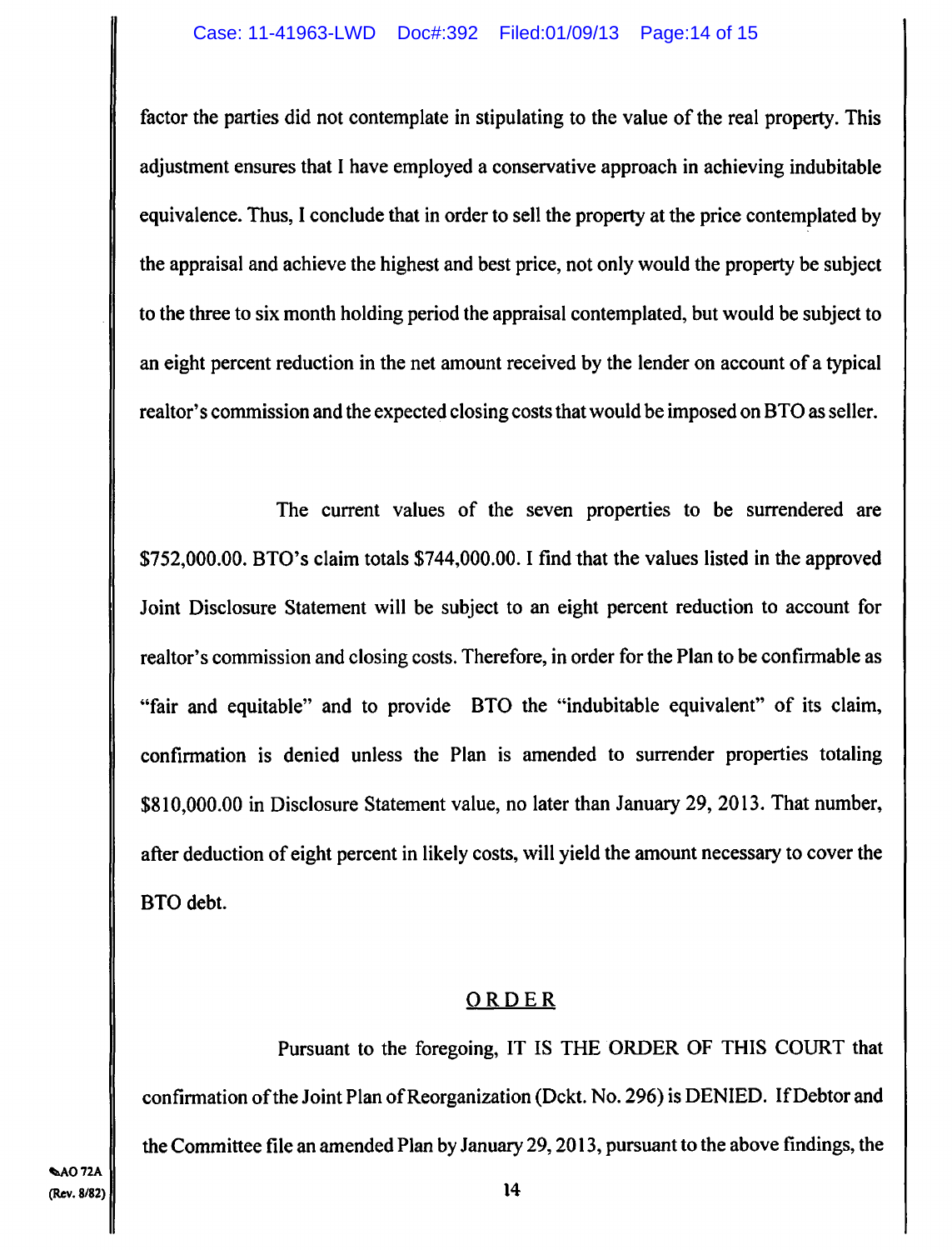factor the parties did not contemplate in stipulating to the value of the real property. This adjustment ensures that I have employed a conservative approach in achieving indubitable equivalence. Thus, I conclude that in order to sell the property at the price contemplated by the appraisal and achieve the highest and best price, not only would the property be subject to the three to six **month** holding period the appraisal contemplated, but would be subject to an eight percent reduction in the net amount received by the lender on account of a typical realtor's commission and the expected closing costs that would be imposed on BTO as seller.

The current values of the seven properties to be surrendered are \$752,000.00. BTO's claim totals \$744,000.00. I find that the values listed in the approved Joint Disclosure Statement will be subject to an eight percent reduction to account for realtor's commission and closing costs. Therefore, in order for the Plan to be confirmable as "fair and equitable" and to provide BTO the "indubitable equivalent" of its claim, confirmation is denied unless the Plan is amended to surrender properties totaling \$810,000.00 in Disclosure Statement value, no later than January 29, 2013. That number, after deduction of eight percent in likely costs, will yield **the amount necessary to cover the**  BTO debt.

## ORDER

Pursuant to the foregoing, IT IS THE ORDER OF THIS COURT that confirmation of the Joint Plan of Reorganization (Dckt. No. 296) is DENIED. If Debtor and the Committee file an amended Plan by January 29, 2013, pursuant to the above findings, the